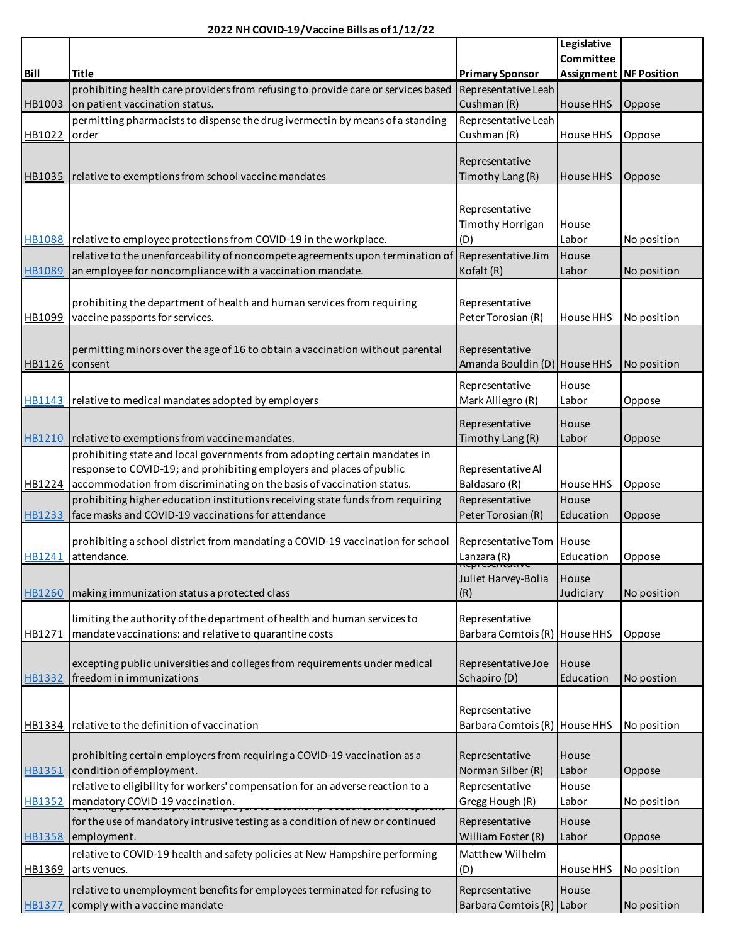|                |                                                                                   |                                           | Legislative                   |             |
|----------------|-----------------------------------------------------------------------------------|-------------------------------------------|-------------------------------|-------------|
|                |                                                                                   |                                           | Committee                     |             |
| <b>Bill</b>    | <b>Title</b>                                                                      | <b>Primary Sponsor</b>                    | <b>Assignment NF Position</b> |             |
|                | prohibiting health care providers from refusing to provide care or services based | Representative Leah                       |                               |             |
| HB1003         | on patient vaccination status.                                                    | Cushman (R)                               | <b>House HHS</b>              | Oppose      |
|                | permitting pharmacists to dispense the drug ivermectin by means of a standing     | Representative Leah                       |                               |             |
| HB1022         | order                                                                             | Cushman (R)                               | House HHS                     |             |
|                |                                                                                   |                                           |                               | Oppose      |
|                |                                                                                   | Representative                            |                               |             |
|                |                                                                                   |                                           |                               |             |
|                | HB1035   relative to exemptions from school vaccine mandates                      | Timothy Lang (R)                          | House HHS                     | Oppose      |
|                |                                                                                   |                                           |                               |             |
|                |                                                                                   | Representative                            |                               |             |
|                |                                                                                   | Timothy Horrigan                          | House                         |             |
|                | HB1088   relative to employee protections from COVID-19 in the workplace.         | (D)                                       | Labor                         | No position |
|                | relative to the unenforceability of noncompete agreements upon termination of     | Representative Jim                        | House                         |             |
|                |                                                                                   |                                           |                               |             |
| <b>HB1089</b>  | an employee for noncompliance with a vaccination mandate.                         | Kofalt (R)                                | Labor                         | No position |
|                |                                                                                   |                                           |                               |             |
|                | prohibiting the department of health and human services from requiring            | Representative                            |                               |             |
| HB1099         | vaccine passports for services.                                                   | Peter Torosian (R)                        | House HHS                     | No position |
|                |                                                                                   |                                           |                               |             |
|                | permitting minors over the age of 16 to obtain a vaccination without parental     | Representative                            |                               |             |
| HB1126 consent |                                                                                   | Amanda Bouldin (D) House HHS              |                               |             |
|                |                                                                                   |                                           |                               | No position |
|                |                                                                                   | Representative                            | House                         |             |
|                | HB1143 relative to medical mandates adopted by employers                          | Mark Alliegro (R)                         | Labor                         | Oppose      |
|                |                                                                                   |                                           |                               |             |
|                |                                                                                   | Representative                            | House                         |             |
|                | HB1210 relative to exemptions from vaccine mandates.                              | Timothy Lang (R)                          | Labor                         | Oppose      |
|                | prohibiting state and local governments from adopting certain mandates in         |                                           |                               |             |
|                | response to COVID-19; and prohibiting employers and places of public              | Representative Al                         |                               |             |
|                |                                                                                   |                                           | House HHS                     |             |
|                | HB1224 accommodation from discriminating on the basis of vaccination status.      | Baldasaro (R)                             |                               | Oppose      |
|                | prohibiting higher education institutions receiving state funds from requiring    | Representative                            | House                         |             |
| HB1233         | face masks and COVID-19 vaccinations for attendance                               | Peter Torosian (R)                        | Education                     | Oppose      |
|                |                                                                                   |                                           |                               |             |
|                | prohibiting a school district from mandating a COVID-19 vaccination for school    | Representative Tom   House                |                               |             |
| HB1241         | attendance.                                                                       | Lanzara (R)<br><del>nepreseritative</del> | Education                     | Oppose      |
|                |                                                                                   | Juliet Harvey-Bolia                       | House                         |             |
|                |                                                                                   |                                           | Judiciary                     |             |
| HB1260         | making immunization status a protected class                                      | (R)                                       |                               | No position |
|                | limiting the authority of the department of health and human services to          | Representative                            |                               |             |
|                |                                                                                   |                                           |                               |             |
| HB1271         | mandate vaccinations: and relative to quarantine costs                            | Barbara Comtois (R)                       | House HHS                     | Oppose      |
|                |                                                                                   |                                           |                               |             |
|                | excepting public universities and colleges from requirements under medical        | Representative Joe                        | House                         |             |
| HB1332         | freedom in immunizations                                                          | Schapiro (D)                              | Education                     | No postion  |
|                |                                                                                   |                                           |                               |             |
|                |                                                                                   | Representative                            |                               |             |
| HB1334         | relative to the definition of vaccination                                         | Barbara Comtois (R) House HHS             |                               | No position |
|                |                                                                                   |                                           |                               |             |
|                |                                                                                   |                                           |                               |             |
|                | prohibiting certain employers from requiring a COVID-19 vaccination as a          | Representative                            | House                         |             |
| HB1351         | condition of employment.                                                          | Norman Silber (R)                         | Labor                         | Oppose      |
|                | relative to eligibility for workers' compensation for an adverse reaction to a    | Representative                            | House                         |             |
| <b>HB1352</b>  | mandatory COVID-19 vaccination.                                                   | Gregg Hough (R)                           | Labor                         | No position |
|                | for the use of mandatory intrusive testing as a condition of new or continued     | Representative                            | House                         |             |
|                |                                                                                   |                                           |                               |             |
| <b>HB1358</b>  | employment.                                                                       | William Foster (R)                        | Labor                         | Oppose      |
|                | relative to COVID-19 health and safety policies at New Hampshire performing       | Matthew Wilhelm                           |                               |             |
| HB1369         | arts venues.                                                                      | (D)                                       | House HHS                     | No position |
|                |                                                                                   |                                           |                               |             |
|                | relative to unemployment benefits for employees terminated for refusing to        | Representative                            | House                         |             |
| <b>HB1377</b>  | comply with a vaccine mandate                                                     | Barbara Comtois (R) Labor                 |                               | No position |